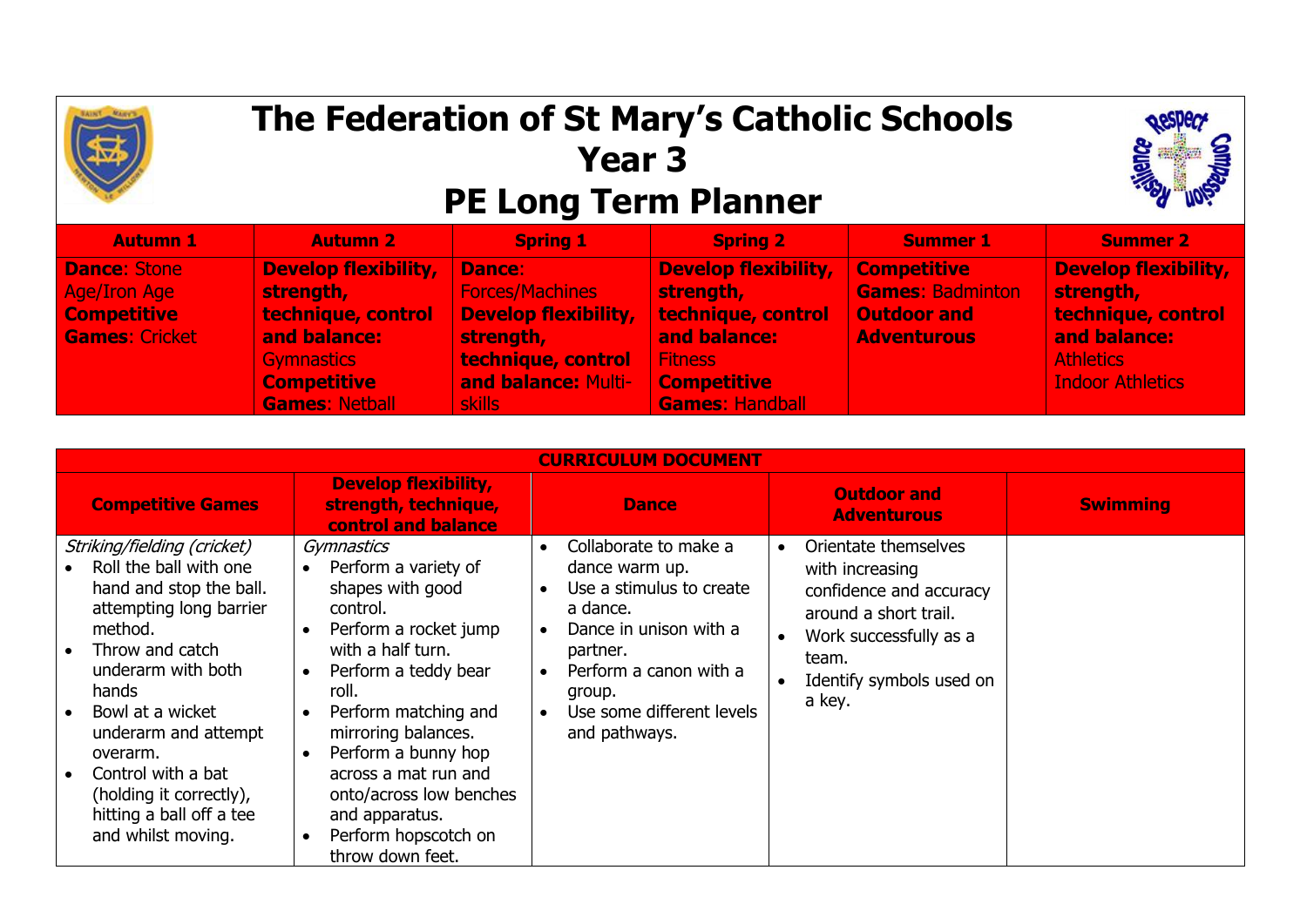

## **The Federation of St Mary's Catholic Schools Year 3 PE Long Term Planner**



| <b>Autumn 1</b>       | <b>Autumn 2</b>             | <b>Spring 1</b>             | <b>Spring 2</b>             | <b>Summer 1</b>         | <b>Summer 2</b>         |
|-----------------------|-----------------------------|-----------------------------|-----------------------------|-------------------------|-------------------------|
| <b>Dance: Stone</b>   | <b>Develop flexibility,</b> | <b>Dance:</b>               | <b>Develop flexibility,</b> | <b>Competitive</b>      | Develop flexibility,    |
| <b>Age/Iron Age</b>   | strength,                   | <b>Forces/Machines</b>      | strength,                   | <b>Games: Badminton</b> | strength,               |
| <b>Competitive</b>    | technique, control          | <b>Develop flexibility,</b> | technique, control          | <b>Outdoor and</b>      | technique, control      |
| <b>Games: Cricket</b> | and balance:                | strength,                   | and balance:                | <b>Adventurous</b>      | and balance:            |
|                       | Gymnastics                  | technique, control          | <b>Fitness</b>              |                         | <b>Athletics</b>        |
|                       | <b>Competitive</b>          | and balance: Multi-         | <b>Competitive</b>          |                         | <b>Indoor Athletics</b> |
|                       | <b>Games: Netball</b>       | <b>skills</b>               | Games: Handball             |                         |                         |

| <b>CURRICULUM DOCUMENT</b>                                                                                                                                                                                                                                                                                                                                    |                                                                                                                                                                                                                                                                                                                                                                                 |                                                                                                                                                                                                                                                             |                                                                                                                                                                                                |                 |  |  |  |  |
|---------------------------------------------------------------------------------------------------------------------------------------------------------------------------------------------------------------------------------------------------------------------------------------------------------------------------------------------------------------|---------------------------------------------------------------------------------------------------------------------------------------------------------------------------------------------------------------------------------------------------------------------------------------------------------------------------------------------------------------------------------|-------------------------------------------------------------------------------------------------------------------------------------------------------------------------------------------------------------------------------------------------------------|------------------------------------------------------------------------------------------------------------------------------------------------------------------------------------------------|-----------------|--|--|--|--|
| <b>Competitive Games</b>                                                                                                                                                                                                                                                                                                                                      | <b>Develop flexibility,</b><br>strength, technique,<br>control and balance                                                                                                                                                                                                                                                                                                      | <b>Dance</b>                                                                                                                                                                                                                                                | <b>Outdoor and</b><br><b>Adventurous</b>                                                                                                                                                       | <b>Swimming</b> |  |  |  |  |
| Striking/fielding (cricket)<br>Roll the ball with one<br>hand and stop the ball.<br>attempting long barrier<br>method.<br>Throw and catch<br>$\bullet$<br>underarm with both<br>hands<br>Bowl at a wicket<br>$\bullet$<br>underarm and attempt<br>overarm.<br>Control with a bat<br>(holding it correctly),<br>hitting a ball off a tee<br>and whilst moving. | Gymnastics<br>Perform a variety of<br>shapes with good<br>control.<br>Perform a rocket jump<br>with a half turn.<br>Perform a teddy bear<br>$\bullet$<br>roll.<br>Perform matching and<br>mirroring balances.<br>Perform a bunny hop<br>$\bullet$<br>across a mat run and<br>onto/across low benches<br>and apparatus.<br>Perform hopscotch on<br>$\bullet$<br>throw down feet. | Collaborate to make a<br>$\bullet$<br>dance warm up.<br>Use a stimulus to create<br>$\bullet$<br>a dance.<br>Dance in unison with a<br>partner.<br>Perform a canon with a<br>$\bullet$<br>group.<br>Use some different levels<br>$\bullet$<br>and pathways. | Orientate themselves<br>$\bullet$<br>with increasing<br>confidence and accuracy<br>around a short trail.<br>Work successfully as a<br>$\bullet$<br>team.<br>Identify symbols used on<br>a key. |                 |  |  |  |  |